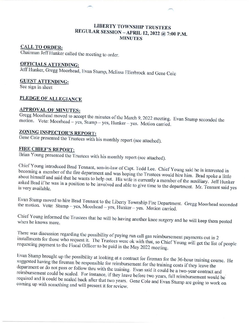#### **LIBERTY TOWNSHIP TRUSTEES** REGULAR SESSION - APRIL 12, 2022 @ 7:00 P.M. **MINUTES**

#### **CALL TO ORDER:**

Chairman Jeff Hunker called the meeting to order.

## **OFFICIALS ATTENDING:**

Jeff Hunker, Gregg Moorhead, Evan Stump, Melissa Ellerbrock and Gene Cole

#### **GUEST ATTENDING:**

See sign in sheet

#### PLEDGE OF ALLEGIANCE

#### **APPROVAL OF MINUTES:**

Gregg Moorhead moved to accept the minutes of the March 9, 2022 meeting. Evan Stump seconded the motion. Vote: Moorhead - yes, Stump - yes, Hunker - yes. Motion carried.

# **ZONING INSPECTOR'S REPORT:**

Gene Cole presented the Trustees with his monthly report (see attached).

### **FIRE CHIEF'S REPORT:**

Brian Young presented the Trustees with his monthly report (see attached).

Chief Young introduced Brad Tennant, son-in-law of Capt. Todd Lee. Chief Young said he is interested in becoming a member of the fire department and was hoping the Trustees would hire him. Brad spoke a little about himself and said that he wants to help out. His wife is currently a member of the auxiliary. Jeff Hunker asked Brad if he was in a position to be involved and able to give time to the department. Mr. Tennant said yes is very available.

Evan Stump moved to hire Brad Tennant to the Liberty Township Fire Department. Gregg Moorhead seconded the motion. Vote: Stump - yes, Moorhead - yes, Hunker - yes. Motion carried.

Chief Young informed the Trustees that he will be having another knee surgery and he will keep them posted

There was discussion regarding the possibility of paying run call gas reimbursement payments out in 2 installments for those who request it. The Trustees were ok with that, so Chief Young will get the list of people requesting payment to the Fiscal Officer to be paid in the May 2022 meeting.

Evan Stump brought up the possibility at looking at a contract for fireman for the 36-hour training course. He suggested having the fireman be responsible for reimbursement for the training costs if they leave the department or do not pass or follow thru with the training. Evan said it could be a two-year contract and reimbursement could be scaled. For instance, if they leave before two years, full reimbursement would be required and it could be scaled back after that two years. Gene Cole and Evan Stump are going to work on coming up with something and will present it for review.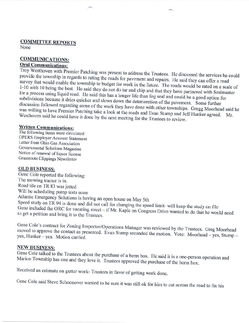### **COMMITTEE REPORTS**

None

#### **COMMUNICATIONS: Oral Communications:**

Troy Westhoven with Premier Patching was present to address the Trustees. He discussed the services he could provide the township in regards to rating the roads for pavement and repairs. He said they can offer a road survey that would enable the township to budget for work in the future. The roads would be rated on a scale of 1-10 with 10 being the best. He said they do not do tar and chip and that they have partnered with Sealmaster for a process using liquid road. He said this has a longer life than fog seal and could be a good option for subdivisions because it dries quicker and slows down the deterioration of the pavement. Some further discussion followed regarding some of the work they have done with other townships. Gregg Moorhead said he was willing to have Premier Patching take a look at the roads and Evan Stump and Jeff Hunker agreed. Mr. Westhoven said he could have it done by the next meeting for the Trustees to review.

#### **Written Communications:**

The following items were circulated: **OPERS Employer Account Statement** Letter from Ohio Gas Association Governmental Solutions Magazine Notice of renewal of liquor license Grassroots Clippings Newsletter

#### **OLD BUSINESS:**

Gene Cole reported the following: The mowing tractor is in. Road tile on TR 83 was jetted Will be scheduling pump tests soon Atlantic Emergency Solutions is having an open house on May 5th Speed study on TR 94 is done and did not call for changing the speed limit- will keep the study on file Gene included the ORC for vacating street – if Mr. Kaple on Congress Drive wanted to do that he would need to get a petition and bring it to the Trustees.

Gene Cole's contract for Zoning Inspector/Operations Manager was reviewed by the Trustees. Greg Moorhead moved to approve the contact as presented. Evan Stump seconded the motion. Vote: Moorhead - yes, Stump yes, Hunker-yes. Motion carried.

#### **NEW BUSINESS:**

Gene Cole talked to the Trustees about the purchase of a berm box. He said it is a one-person operation and Marion Township has one and they love it. Trustees approved the purchase of the berm box.

Received an estimate on gutter work- Trustees in favor of getting work done.

Gene Cole said Steve Schoonover wanted to be sure it was still ok for him to cut across the road to fix his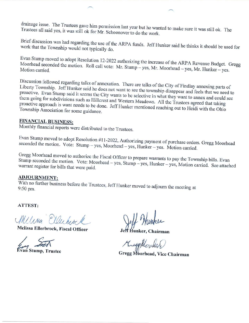drainage issue. The Trustees gave him permission last year but he wanted to make sure it was still ok. The Trustees all said yes, it was still ok for Mr. Schoonover to do the work.

Brief discussion was had regarding the use of the ARPA funds. Jeff Hunker said he thinks it should be used for work that the Township would not typically do.

Evan Stump moved to adopt Resolution 12-2022 authorizing the increase of the ARPA Revenue Budget. Gregg Moorhead seconded the motion. Roll call vote: Mr. Stump - yes, Mr. Moorhead - yes, Mr. Hunker - yes.

Discussion followed regarding talks of annexation. There are talks of the City of Findlay annexing parts of Liberty Township. Jeff Hunker said he does not want to see the township disappear and feels that we need to proactive. Evan Stump said it seems the City wants to be selective in what they want to annex and could see them going for subdivisions such as Hillcrest and Western Meadows. All the Trustees agreed that taking proactive approach is want needs to be done. Jeff Hunker mentioned reaching out to Heidi with the Ohio Township Association for some guidance.

#### **FINANCIAL BUSINESS:**

Monthly financial reports were distributed to the Trustees.

Evan Stump moved to adopt Resolution #11-2022, Authorizing payment of purchase orders. Gregg Moorhead seconded the motion. Vote: Stump - yes, Moorhead - yes, Hunker - yes. Motion carried.

Gregg Moorhead moved to authorize the Fiscal Officer to prepare warrants to pay the Township bills. Evan Stump seconded the motion. Vote: Moorhead - yes, Stump - yes, Hunker - yes, Motion carried. See attached warrant register for bills that were paid.

#### **ADJOURNMENT:**

With no further business before the Trustees, Jeff Hunker moved to adjourn the meeting at 9:50 pm.

ATTEST:

Millima Elluhisch

Melissa Ellerbrock, Fiscal Officer

van Stump, Trustee

Jeff Hunker, Chairman

KreepHonked

Gregg Moorhead, Vice Chairman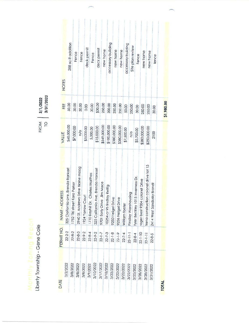| ł |   |  | ÷ |   |
|---|---|--|---|---|
|   |   |  |   | ł |
|   |   |  |   |   |
|   |   |  |   |   |
|   |   |  |   |   |
|   |   |  |   |   |
|   |   |  |   |   |
|   |   |  |   |   |
|   |   |  |   |   |
|   |   |  |   |   |
|   |   |  |   |   |
|   |   |  |   |   |
|   |   |  |   |   |
|   |   |  |   |   |
|   | n |  |   |   |
|   |   |  |   |   |
|   |   |  |   |   |
|   |   |  |   |   |
|   |   |  |   |   |
|   |   |  |   |   |
|   |   |  |   |   |
|   |   |  |   |   |
|   |   |  |   |   |
|   |   |  |   |   |
|   |   |  |   |   |
|   |   |  |   |   |
|   |   |  |   |   |

Liberty Township - Gene Cole

FROM 3/1/2022

| <b>NOTES</b><br>FEE | 50.00                               | 288 sq ft addition           | Fence<br>30.00 | Fence<br>30.00                     | 0.00              | deck permit<br>30.00             | Fence<br>\$30.00                    | deck permit<br>250.00     | new home<br>200.00         | accessory building | new home<br>250.00 | new home<br>250.00 | accessory building<br>50.00 | Site plan review<br>250.00 | Fence<br>30.00                     | 250.00                        | new home                                | new home<br>250.00        | fence<br>30.00 |              |
|---------------------|-------------------------------------|------------------------------|----------------|------------------------------------|-------------------|----------------------------------|-------------------------------------|---------------------------|----------------------------|--------------------|--------------------|--------------------|-----------------------------|----------------------------|------------------------------------|-------------------------------|-----------------------------------------|---------------------------|----------------|--------------|
| VALUE               | \$60,000.00                         | \$7,000.00                   |                | n/a                                | \$3,000.00        | 5,000.00                         | \$15,000.00                         | \$549,000.00              | \$100,000.00               | \$380,000.00       |                    | \$380,000.00       | \$7,500.00                  | n/a                        | \$5,700.00                         | \$280,000.00                  | \$250,000.00                            | 2100                      |                |              |
| NAME - ADDRESS      | 325 Claifornia ave. Brenda frankart | 1752 Tiki street Kara Parker |                | 2940 St. Andrews Drive Blaine maag | 1924 Yarrow Court | 1710 Bayhill Dr. Charles Matthes | 325 California Ave. Brenda Frankart | 9701 Early Drive Jim Mace | 10254 cr 95 findlay Rettig | 9250 Heigel Drive  | 9236 Heigel Drive  | William forster    |                             | Findlay Warehousing        | 015 Inverness Dr.<br>Tyler Beckley | roger best 9304 colonel Drive | frena construction colonel drive lot 15 | 2414 West Sandusky Brandt |                |              |
| PERMIT NO.          | 22-2-2                              | 22-8-2                       | $22-8-3$       |                                    | $22 - 9 - 2$      | $22-8-4$                         | $22 - 9 - 2$                        | $22 - 1 - 7$              | $22 - 7 - 3$               | $22 - 1 - 8$       | $22 - 1 - 9$       | $22 - 7 - 4$       | $22 - 11 - 1$               |                            | $22-8-4$                           | $22 - 1 - 10$                 | $22 - 1 - 11$                           | $22-8-5$                  |                |              |
| DATE                | 3/2/2022                            | 3/8/2022                     | 3/8/2022       |                                    | 3/8/2022          | 3/9/2022                         | 3/10/2022                           | 3/17/2022                 | 3/18/2022                  | 3/22/2022          | 3/22/2022          | 3/22/2022          | 3/22/2022                   |                            | 3/25/2022                          | 3/28/2022                     | 3/28/2022                               | 3/31/2022                 |                | <b>TOTAL</b> |